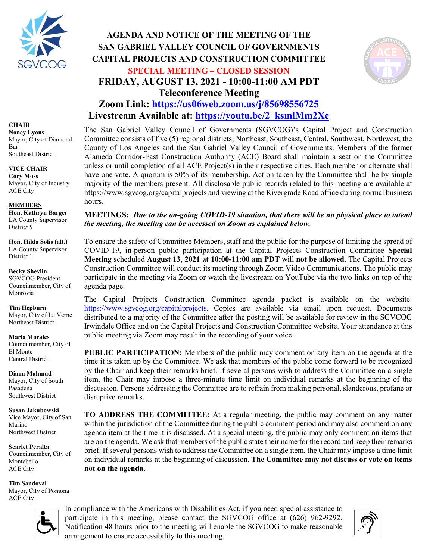

#### **CHAIR**

**Nancy Lyons** Mayor, City of Diamond Bar Southeast District

#### **VICE CHAIR**

**Cory Moss** Mayor, City of Industry ACE City

### **MEMBERS**

**Hon. Kathryn Barger** LA County Supervisor District 5

**Hon. Hilda Solis (alt.)** LA County Supervisor District 1

**Becky Shevlin** SGVCOG President Councilmember, City of Monrovia

**Tim Hepburn** Mayor, City of La Verne Northeast District

**Maria Morales** Councilmember, City of El Monte Central District

**Diana Mahmud** Mayor, City of South Pasadena Southwest District

**Susan Jakubowski** Vice Mayor, City of San Marino Northwest District

**Scarlet Peralta** Councilmember, City of Montebello ACE City

**Tim Sandoval** Mayor, City of Pomona ACE City

# **AGENDA AND NOTICE OF THE MEETING OF THE SAN GABRIEL VALLEY COUNCIL OF GOVERNMENTS CAPITAL PROJECTS AND CONSTRUCTION COMMITTEE SPECIAL MEETING – CLOSED SESSION FRIDAY, AUGUST 13, 2021 - 10:00-11:00 AM PDT Teleconference Meeting**



# **Zoom Link:<https://us06web.zoom.us/j/85698556725> Livestream Available at: [https://youtu.be/2\\_ksmlMm2Xc](https://youtu.be/2_ksmlMm2Xc)**

The San Gabriel Valley Council of Governments (SGVCOG)'s Capital Project and Construction Committee consists of five (5) regional districts; Northeast, Southeast, Central, Southwest, Northwest, the County of Los Angeles and the San Gabriel Valley Council of Governments. Members of the former Alameda Corridor-East Construction Authority (ACE) Board shall maintain a seat on the Committee unless or until completion of all ACE Project(s) in their respective cities. Each member or alternate shall have one vote. A quorum is 50% of its membership. Action taken by the Committee shall be by simple majority of the members present. All disclosable public records related to this meeting are available at <https://www.sgvcog.org/capitalprojects> and viewing at the Rivergrade Road office during normal business hours.

### **MEETINGS:** *Due to the on-going COVID-19 situation, that there will be no physical place to attend the meeting, the meeting can be accessed on Zoom as explained below.*

To ensure the safety of Committee Members, staff and the public for the purpose of limiting the spread of COVID-19, in-person public participation at the Capital Projects Construction Committee **Special Meeting** scheduled **August 13, 2021 at 10:00-11:00 am PDT** will **not be allowed**. The Capital Projects Construction Committee will conduct its meeting through Zoom Video Communications. The public may participate in the meeting via Zoom or watch the livestream on YouTube via the two links on top of the agenda page.

The Capital Projects Construction Committee agenda packet is available on the website: [https://www.sgvcog.org/capitalprojects.](https://www.sgvcog.org/capitalprojects) Copies are available via email upon request. Documents distributed to a majority of the Committee after the posting will be available for review in the SGVCOG Irwindale Office and on the Capital Projects and Construction Committee website. Your attendance at this public meeting via Zoom may result in the recording of your voice.

**PUBLIC PARTICIPATION:** Members of the public may comment on any item on the agenda at the time it is taken up by the Committee. We ask that members of the public come forward to be recognized by the Chair and keep their remarks brief. If several persons wish to address the Committee on a single item, the Chair may impose a three-minute time limit on individual remarks at the beginning of the discussion. Persons addressing the Committee are to refrain from making personal, slanderous, profane or disruptive remarks.

**TO ADDRESS THE COMMITTEE:** At a regular meeting, the public may comment on any matter within the jurisdiction of the Committee during the public comment period and may also comment on any agenda item at the time it is discussed. At a special meeting, the public may only comment on items that are on the agenda. We ask that members of the public state their name for the record and keep their remarks brief. If several persons wish to address the Committee on a single item, the Chair may impose a time limit on individual remarks at the beginning of discussion. **The Committee may not discuss or vote on items not on the agenda.**



In compliance with the Americans with Disabilities Act, if you need special assistance to participate in this meeting, please contact the SGVCOG office at (626) 962-9292. Notification 48 hours prior to the meeting will enable the SGVCOG to make reasonable arrangement to ensure accessibility to this meeting.

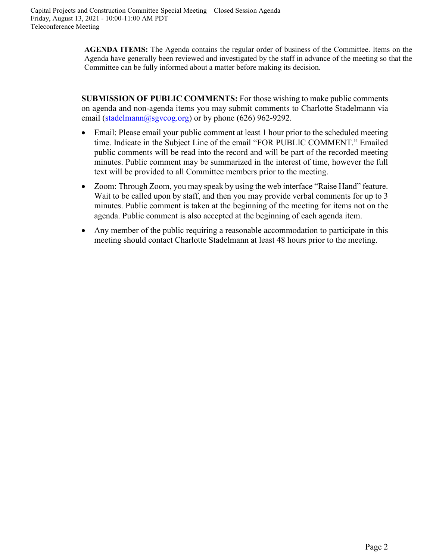**AGENDA ITEMS:** The Agenda contains the regular order of business of the Committee. Items on the Agenda have generally been reviewed and investigated by the staff in advance of the meeting so that the Committee can be fully informed about a matter before making its decision.

**SUBMISSION OF PUBLIC COMMENTS:** For those wishing to make public comments on agenda and non-agenda items you may submit comments to Charlotte Stadelmann via email [\(stadelmann@sgvcog.org\)](mailto:stadelmann@sgvcog.org) or by phone (626) 962-9292.

- Email: Please email your public comment at least 1 hour prior to the scheduled meeting time. Indicate in the Subject Line of the email "FOR PUBLIC COMMENT." Emailed public comments will be read into the record and will be part of the recorded meeting minutes. Public comment may be summarized in the interest of time, however the full text will be provided to all Committee members prior to the meeting.
- Zoom: Through Zoom, you may speak by using the web interface "Raise Hand" feature. Wait to be called upon by staff, and then you may provide verbal comments for up to 3 minutes. Public comment is taken at the beginning of the meeting for items not on the agenda. Public comment is also accepted at the beginning of each agenda item.
- Any member of the public requiring a reasonable accommodation to participate in this meeting should contact Charlotte Stadelmann at least 48 hours prior to the meeting.